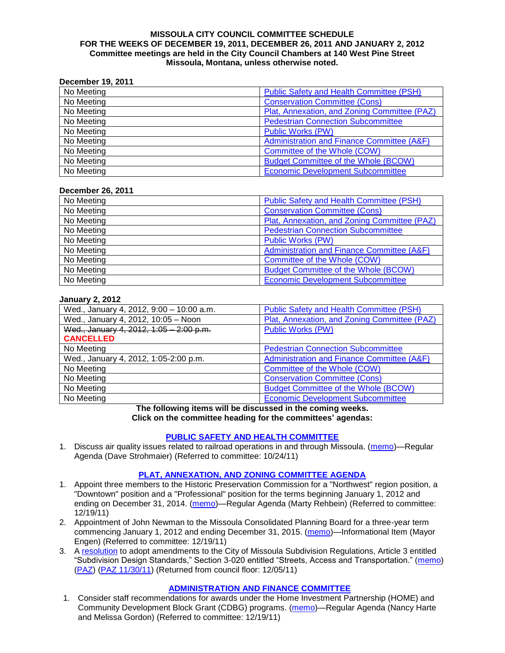#### **MISSOULA CITY COUNCIL COMMITTEE SCHEDULE FOR THE WEEKS OF DECEMBER 19, 2011, DECEMBER 26, 2011 AND JANUARY 2, 2012 Committee meetings are held in the City Council Chambers at 140 West Pine Street Missoula, Montana, unless otherwise noted.**

### **December 19, 2011**

| No Meeting | Public Safety and Health Committee (PSH)              |
|------------|-------------------------------------------------------|
| No Meeting | <b>Conservation Committee (Cons)</b>                  |
| No Meeting | Plat, Annexation, and Zoning Committee (PAZ)          |
| No Meeting | <b>Pedestrian Connection Subcommittee</b>             |
| No Meeting | <b>Public Works (PW)</b>                              |
| No Meeting | <b>Administration and Finance Committee (A&amp;F)</b> |
| No Meeting | Committee of the Whole (COW)                          |
| No Meeting | <b>Budget Committee of the Whole (BCOW)</b>           |
| No Meeting | <b>Economic Development Subcommittee</b>              |

#### **December 26, 2011**

| No Meeting | <b>Public Safety and Health Committee (PSH)</b> |
|------------|-------------------------------------------------|
| No Meeting | <b>Conservation Committee (Cons)</b>            |
| No Meeting | Plat, Annexation, and Zoning Committee (PAZ)    |
| No Meeting | <b>Pedestrian Connection Subcommittee</b>       |
| No Meeting | <b>Public Works (PW)</b>                        |
| No Meeting | Administration and Finance Committee (A&F)      |
| No Meeting | Committee of the Whole (COW)                    |
| No Meeting | <b>Budget Committee of the Whole (BCOW)</b>     |
| No Meeting | <b>Economic Development Subcommittee</b>        |

### **January 2, 2012**

| Wed., January 4, 2012, 9:00 - 10:00 a.m. | <b>Public Safety and Health Committee (PSH)</b> |
|------------------------------------------|-------------------------------------------------|
| Wed., January 4, 2012, 10:05 - Noon      | Plat, Annexation, and Zoning Committee (PAZ)    |
| Wed., January 4, 2012, 1:05 - 2:00 p.m.  | <b>Public Works (PW)</b>                        |
| <b>CANCELLED</b>                         |                                                 |
| No Meeting                               | <b>Pedestrian Connection Subcommittee</b>       |
| Wed., January 4, 2012, 1:05-2:00 p.m.    | Administration and Finance Committee (A&F)      |
| No Meeting                               | Committee of the Whole (COW)                    |
| No Meeting                               | <b>Conservation Committee (Cons)</b>            |
| No Meeting                               | <b>Budget Committee of the Whole (BCOW)</b>     |
| No Meeting                               | <b>Economic Development Subcommittee</b>        |

**The following items will be discussed in the coming weeks. Click on the committee heading for the committees' agendas:**

### **[PUBLIC SAFETY AND HEALTH COMMITTEE](http://www.ci.missoula.mt.us/DocumentCenterii.aspx?FID=836)**

1. Discuss air quality issues related to railroad operations in and through Missoula. [\(memo\)](http://www.ci.missoula.mt.us/DocumentView.aspx?DID=7495)—Regular Agenda (Dave Strohmaier) (Referred to committee: 10/24/11)

### **[PLAT, ANNEXATION, AND ZONING COMMITTEE AGENDA](http://www.ci.missoula.mt.us/DocumentCenterii.aspx?FID=831)**

- 1. Appoint three members to the Historic Preservation Commission for a "Northwest" region position, a "Downtown" position and a "Professional" position for the terms beginning January 1, 2012 and ending on December 31, 2014. [\(memo\)](http://www.ci.missoula.mt.us/DocumentView.aspx?DID=7865)—Regular Agenda (Marty Rehbein) (Referred to committee: 12/19/11)
- 2. Appointment of John Newman to the Missoula Consolidated Planning Board for a three-year term commencing January 1, 2012 and ending December 31, 2015. [\(memo\)](http://www.ci.missoula.mt.us/DocumentView.aspx?DID=7866)—Informational Item (Mayor Engen) (Referred to committee: 12/19/11)
- 3. A [resolution](http://www.ci.missoula.mt.us/DocumentView.aspx?DID=7484) to adopt amendments to the City of Missoula Subdivision Regulations, Article 3 entitled "Subdivision Design Standards," Section 3-020 entitled "Streets, Access and Transportation." [\(memo\)](http://www.ci.missoula.mt.us/DocumentView.aspx?DID=7491) [\(PAZ\)](http://www.ci.missoula.mt.us/Archive.aspx?ADID=4684) [\(PAZ 11/30/11\)](http://www.ci.missoula.mt.us/Archive.aspx?ADID=4786) (Returned from council floor: 12/05/11)

### **[ADMINISTRATION AND FINANCE COMMITTEE](http://www.ci.missoula.mt.us/DocumentCenterii.aspx?FID=830)**

1. Consider staff recommendations for awards under the Home Investment Partnership (HOME) and Community Development Block Grant (CDBG) programs. [\(memo\)](http://www.ci.missoula.mt.us/DocumentView.aspx?DID=7863)—Regular Agenda (Nancy Harte and Melissa Gordon) (Referred to committee: 12/19/11)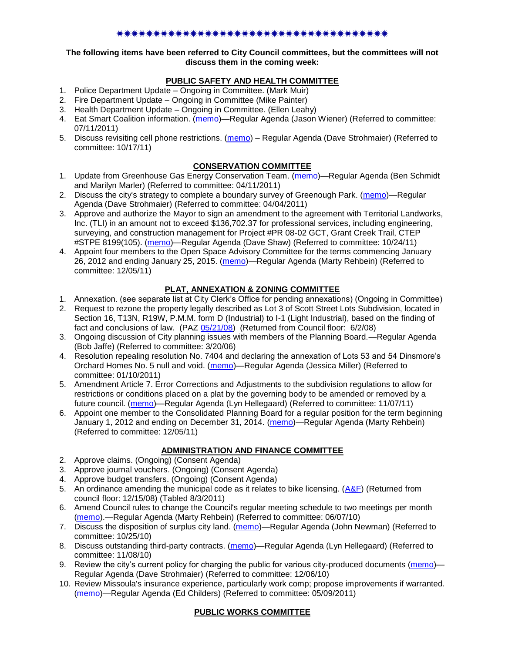### \*\*\*\*\*\*\*\*\*\*\*\*\*\*\*\*\*\*\*\*\*\*\*\*\*\*\*\*\*\*\*\*\*\*\*

### **The following items have been referred to City Council committees, but the committees will not discuss them in the coming week:**

# **PUBLIC SAFETY AND HEALTH COMMITTEE**

- 1. Police Department Update Ongoing in Committee. (Mark Muir)
- 2. Fire Department Update Ongoing in Committee (Mike Painter)
- 3. Health Department Update Ongoing in Committee. (Ellen Leahy)
- 4. Eat Smart Coalition information. [\(memo\)](http://www.ci.missoula.mt.us/DocumentView.aspx?DID=6776)—Regular Agenda (Jason Wiener) (Referred to committee: 07/11/2011)
- 5. Discuss revisiting cell phone restrictions. [\(memo\)](http://www.ci.missoula.mt.us/DocumentView.aspx?DID=7420) Regular Agenda (Dave Strohmaier) (Referred to committee: 10/17/11)

## **CONSERVATION COMMITTEE**

- 1. Update from Greenhouse Gas Energy Conservation Team. [\(memo\)](http://www.ci.missoula.mt.us/DocumentView.aspx?DID=5945)—Regular Agenda (Ben Schmidt and Marilyn Marler) (Referred to committee: 04/11/2011)
- 2. Discuss the city's strategy to complete a boundary survey of Greenough Park. [\(memo\)](http://www.ci.missoula.mt.us/DocumentView.aspx?DID=5875)—Regular Agenda (Dave Strohmaier) (Referred to committee: 04/04/2011)
- 3. Approve and authorize the Mayor to sign an amendment to the agreement with Territorial Landworks, Inc. (TLI) in an amount not to exceed \$136,702.37 for professional services, including engineering, surveying, and construction management for Project #PR 08-02 GCT, Grant Creek Trail, CTEP #STPE 8199(105). [\(memo\)](http://www.ci.missoula.mt.us/DocumentView.aspx?DID=7494)—Regular Agenda (Dave Shaw) (Referred to committee: 10/24/11)
- 4. Appoint four members to the Open Space Advisory Committee for the terms commencing January 26, 2012 and ending January 25, 2015. [\(memo\)](http://www.ci.missoula.mt.us/DocumentView.aspx?DID=7747)—Regular Agenda (Marty Rehbein) (Referred to committee: 12/05/11)

## **PLAT, ANNEXATION & ZONING COMMITTEE**

- 1. Annexation. (see separate list at City Clerk's Office for pending annexations) (Ongoing in Committee)
- 2. Request to rezone the property legally described as Lot 3 of Scott Street Lots Subdivision, located in Section 16, T13N, R19W, P.M.M. form D (Industrial) to I-1 (Light Industrial), based on the finding of fact and conclusions of law. (PAZ [05/21/08\)](ftp://ftp.ci.missoula.mt.us/Packets/Council/2008/2008-06-02/080521paz.pdf) (Returned from Council floor: 6/2/08)
- 3. Ongoing discussion of City planning issues with members of the Planning Board.—Regular Agenda (Bob Jaffe) (Referred to committee: 3/20/06)
- 4. Resolution repealing resolution No. 7404 and declaring the annexation of Lots 53 and 54 Dinsmore's Orchard Homes No. 5 null and void. [\(memo\)](http://www.ci.missoula.mt.us/DocumentView.aspx?DID=5349)—Regular Agenda (Jessica Miller) (Referred to committee: 01/10/2011)
- 5. Amendment Article 7. Error Corrections and Adjustments to the subdivision regulations to allow for restrictions or conditions placed on a plat by the governing body to be amended or removed by a future council. [\(memo\)](http://www.ci.missoula.mt.us/DocumentView.aspx?DID=7568)—Regular Agenda (Lyn Hellegaard) (Referred to committee: 11/07/11)
- 6. Appoint one member to the Consolidated Planning Board for a regular position for the term beginning January 1, 2012 and ending on December 31, 2014. [\(memo\)](http://www.ci.missoula.mt.us/DocumentView.aspx?DID=7787)—Regular Agenda (Marty Rehbein) (Referred to committee: 12/05/11)

## **ADMINISTRATION AND FINANCE COMMITTEE**

- 2. Approve claims. (Ongoing) (Consent Agenda)
- 3. Approve journal vouchers. (Ongoing) (Consent Agenda)
- 4. Approve budget transfers. (Ongoing) (Consent Agenda)
- 5. An ordinance amending the municipal code as it relates to bike licensing.  $(A&F)$  (Returned from council floor: 12/15/08) (Tabled 8/3/2011)
- 6. Amend Council rules to change the Council's regular meeting schedule to two meetings per month [\(memo\)](http://www.ci.missoula.mt.us/DocumentView.aspx?DID=4027).—Regular Agenda (Marty Rehbein) (Referred to committee: 06/07/10)
- 7. Discuss the disposition of surplus city land. [\(memo\)](http://www.ci.missoula.mt.us/DocumentView.aspx?DID=4862)—Regular Agenda (John Newman) (Referred to committee: 10/25/10)
- 8. Discuss outstanding third-party contracts. [\(memo\)](http://www.ci.missoula.mt.us/DocumentView.aspx?DID=4956)—Regular Agenda (Lyn Hellegaard) (Referred to committee: 11/08/10)
- 9. Review the city's current policy for charging the public for various city-produced documents [\(memo\)](http://www.ci.missoula.mt.us/DocumentView.aspx?DID=5143) Regular Agenda (Dave Strohmaier) (Referred to committee: 12/06/10)
- 10. Review Missoula's insurance experience, particularly work comp; propose improvements if warranted. [\(memo\)](http://www.ci.missoula.mt.us/DocumentView.aspx?DID=6381)—Regular Agenda (Ed Childers) (Referred to committee: 05/09/2011)

## **PUBLIC WORKS COMMITTEE**